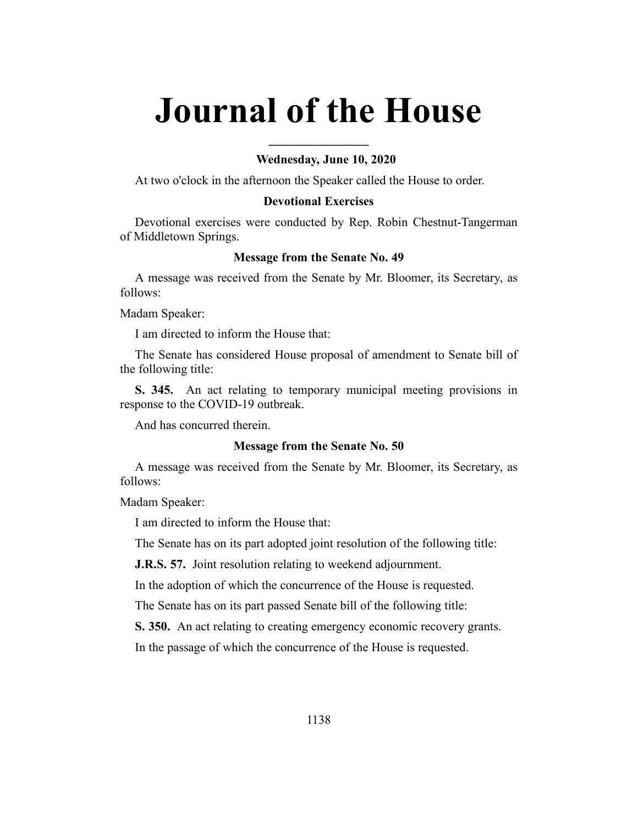# **Journal of the House**

**\_\_\_\_\_\_\_\_\_\_\_\_\_\_\_\_**

## **Wednesday, June 10, 2020**

At two o'clock in the afternoon the Speaker called the House to order.

## **Devotional Exercises**

Devotional exercises were conducted by Rep. Robin Chestnut-Tangerman of Middletown Springs.

#### **Message from the Senate No. 49**

A message was received from the Senate by Mr. Bloomer, its Secretary, as follows:

Madam Speaker:

I am directed to inform the House that:

The Senate has considered House proposal of amendment to Senate bill of the following title:

**S. 345.** An act relating to temporary municipal meeting provisions in response to the COVID-19 outbreak.

And has concurred therein.

#### **Message from the Senate No. 50**

A message was received from the Senate by Mr. Bloomer, its Secretary, as follows:

Madam Speaker:

I am directed to inform the House that:

The Senate has on its part adopted joint resolution of the following title:

**J.R.S. 57.** Joint resolution relating to weekend adjournment.

In the adoption of which the concurrence of the House is requested.

The Senate has on its part passed Senate bill of the following title:

**S. 350.** An act relating to creating emergency economic recovery grants.

In the passage of which the concurrence of the House is requested.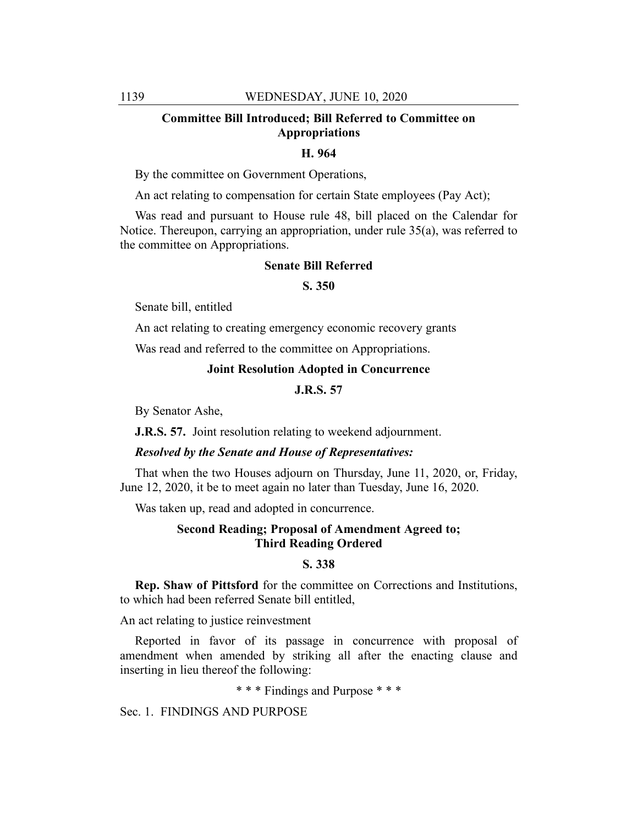## **Committee Bill Introduced; Bill Referred to Committee on Appropriations**

## **H. 964**

By the committee on Government Operations,

An act relating to compensation for certain State employees (Pay Act);

Was read and pursuant to House rule 48, bill placed on the Calendar for Notice. Thereupon, carrying an appropriation, under rule 35(a), was referred to the committee on Appropriations.

#### **Senate Bill Referred**

## **S. 350**

Senate bill, entitled

An act relating to creating emergency economic recovery grants

Was read and referred to the committee on Appropriations.

#### **Joint Resolution Adopted in Concurrence**

## **J.R.S. 57**

By Senator Ashe,

**J.R.S. 57.** Joint resolution relating to weekend adjournment.

#### *Resolved by the Senate and House of Representatives:*

That when the two Houses adjourn on Thursday, June 11, 2020, or, Friday, June 12, 2020, it be to meet again no later than Tuesday, June 16, 2020.

Was taken up, read and adopted in concurrence.

## **Second Reading; Proposal of Amendment Agreed to; Third Reading Ordered**

## **S. 338**

**Rep. Shaw of Pittsford** for the committee on Corrections and Institutions, to which had been referred Senate bill entitled,

An act relating to justice reinvestment

Reported in favor of its passage in concurrence with proposal of amendment when amended by striking all after the enacting clause and inserting in lieu thereof the following:

\* \* \* Findings and Purpose \* \* \*

Sec. 1. FINDINGS AND PURPOSE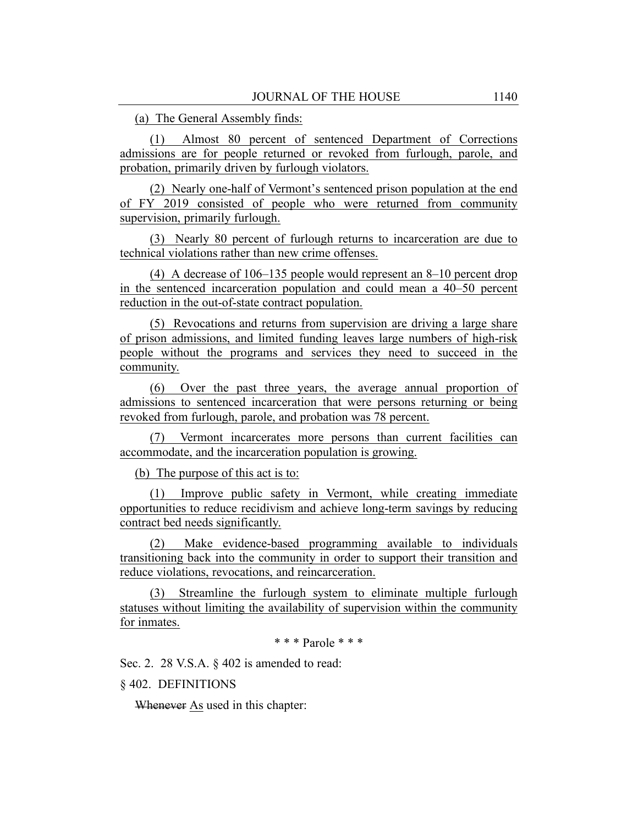(a) The General Assembly finds:

(1) Almost 80 percent of sentenced Department of Corrections admissions are for people returned or revoked from furlough, parole, and probation, primarily driven by furlough violators.

(2) Nearly one-half of Vermont's sentenced prison population at the end of FY 2019 consisted of people who were returned from community supervision, primarily furlough.

(3) Nearly 80 percent of furlough returns to incarceration are due to technical violations rather than new crime offenses.

(4) A decrease of 106–135 people would represent an 8–10 percent drop in the sentenced incarceration population and could mean a 40–50 percent reduction in the out-of-state contract population.

(5) Revocations and returns from supervision are driving a large share of prison admissions, and limited funding leaves large numbers of high-risk people without the programs and services they need to succeed in the community.

(6) Over the past three years, the average annual proportion of admissions to sentenced incarceration that were persons returning or being revoked from furlough, parole, and probation was 78 percent.

(7) Vermont incarcerates more persons than current facilities can accommodate, and the incarceration population is growing.

(b) The purpose of this act is to:

(1) Improve public safety in Vermont, while creating immediate opportunities to reduce recidivism and achieve long-term savings by reducing contract bed needs significantly.

(2) Make evidence-based programming available to individuals transitioning back into the community in order to support their transition and reduce violations, revocations, and reincarceration.

(3) Streamline the furlough system to eliminate multiple furlough statuses without limiting the availability of supervision within the community for inmates.

\* \* \* Parole \* \* \*

Sec. 2. 28 V.S.A. § 402 is amended to read:

§ 402. DEFINITIONS

Whenever As used in this chapter: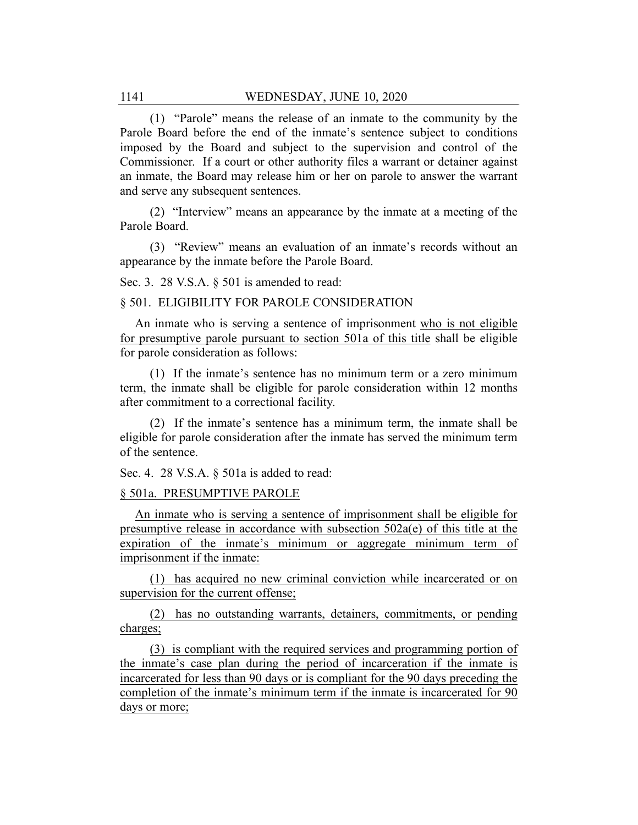(1) "Parole" means the release of an inmate to the community by the Parole Board before the end of the inmate's sentence subject to conditions imposed by the Board and subject to the supervision and control of the Commissioner. If a court or other authority files a warrant or detainer against an inmate, the Board may release him or her on parole to answer the warrant and serve any subsequent sentences.

(2) "Interview" means an appearance by the inmate at a meeting of the Parole Board.

(3) "Review" means an evaluation of an inmate's records without an appearance by the inmate before the Parole Board.

Sec. 3. 28 V.S.A. § 501 is amended to read:

#### § 501. ELIGIBILITY FOR PAROLE CONSIDERATION

An inmate who is serving a sentence of imprisonment who is not eligible for presumptive parole pursuant to section 501a of this title shall be eligible for parole consideration as follows:

(1) If the inmate's sentence has no minimum term or a zero minimum term, the inmate shall be eligible for parole consideration within 12 months after commitment to a correctional facility.

(2) If the inmate's sentence has a minimum term, the inmate shall be eligible for parole consideration after the inmate has served the minimum term of the sentence.

Sec. 4. 28 V.S.A. § 501a is added to read:

#### § 501a. PRESUMPTIVE PAROLE

An inmate who is serving a sentence of imprisonment shall be eligible for presumptive release in accordance with subsection 502a(e) of this title at the expiration of the inmate's minimum or aggregate minimum term of imprisonment if the inmate:

(1) has acquired no new criminal conviction while incarcerated or on supervision for the current offense;

(2) has no outstanding warrants, detainers, commitments, or pending charges;

(3) is compliant with the required services and programming portion of the inmate's case plan during the period of incarceration if the inmate is incarcerated for less than 90 days or is compliant for the 90 days preceding the completion of the inmate's minimum term if the inmate is incarcerated for 90 days or more;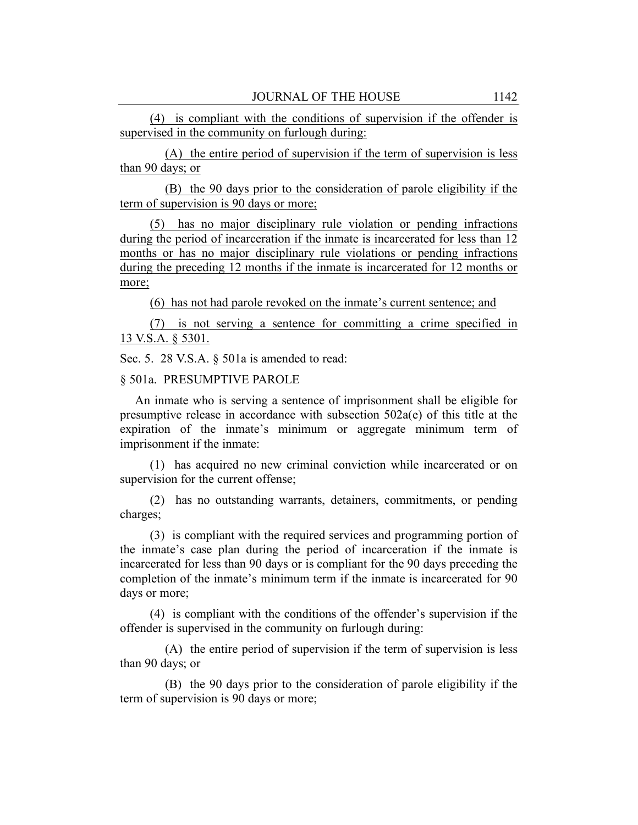(4) is compliant with the conditions of supervision if the offender is supervised in the community on furlough during:

(A) the entire period of supervision if the term of supervision is less than 90 days; or

(B) the 90 days prior to the consideration of parole eligibility if the term of supervision is 90 days or more;

(5) has no major disciplinary rule violation or pending infractions during the period of incarceration if the inmate is incarcerated for less than 12 months or has no major disciplinary rule violations or pending infractions during the preceding 12 months if the inmate is incarcerated for 12 months or more;

(6) has not had parole revoked on the inmate's current sentence; and

(7) is not serving a sentence for committing a crime specified in 13 V.S.A. § 5301.

Sec. 5. 28 V.S.A. § 501a is amended to read:

## § 501a. PRESUMPTIVE PAROLE

An inmate who is serving a sentence of imprisonment shall be eligible for presumptive release in accordance with subsection 502a(e) of this title at the expiration of the inmate's minimum or aggregate minimum term of imprisonment if the inmate:

(1) has acquired no new criminal conviction while incarcerated or on supervision for the current offense;

(2) has no outstanding warrants, detainers, commitments, or pending charges;

(3) is compliant with the required services and programming portion of the inmate's case plan during the period of incarceration if the inmate is incarcerated for less than 90 days or is compliant for the 90 days preceding the completion of the inmate's minimum term if the inmate is incarcerated for 90 days or more;

(4) is compliant with the conditions of the offender's supervision if the offender is supervised in the community on furlough during:

(A) the entire period of supervision if the term of supervision is less than 90 days; or

(B) the 90 days prior to the consideration of parole eligibility if the term of supervision is 90 days or more;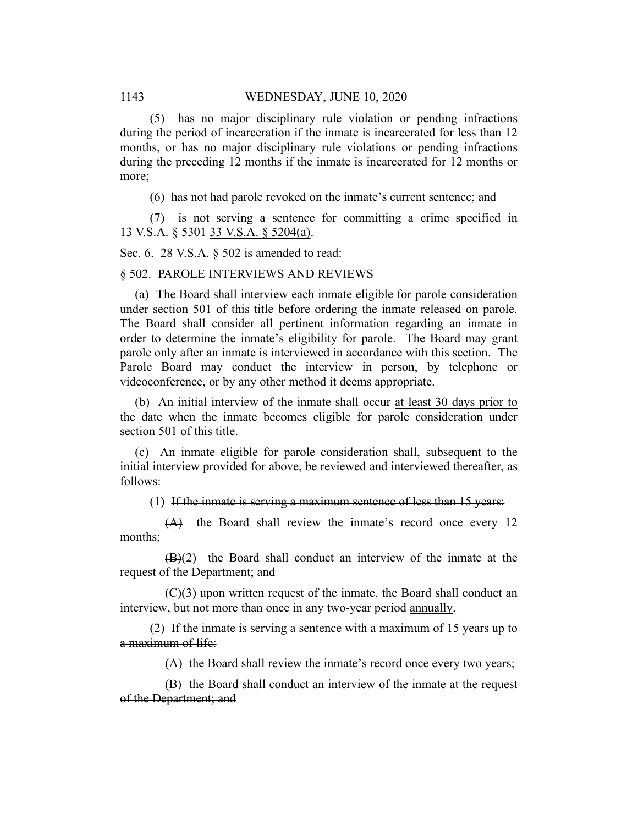(5) has no major disciplinary rule violation or pending infractions during the period of incarceration if the inmate is incarcerated for less than 12 months, or has no major disciplinary rule violations or pending infractions during the preceding 12 months if the inmate is incarcerated for 12 months or more;

(6) has not had parole revoked on the inmate's current sentence; and

(7) is not serving a sentence for committing a crime specified in 13 V.S.A. § 5301 33 V.S.A. § 5204(a).

Sec. 6. 28 V.S.A. § 502 is amended to read:

#### § 502. PAROLE INTERVIEWS AND REVIEWS

(a) The Board shall interview each inmate eligible for parole consideration under section 501 of this title before ordering the inmate released on parole. The Board shall consider all pertinent information regarding an inmate in order to determine the inmate's eligibility for parole. The Board may grant parole only after an inmate is interviewed in accordance with this section. The Parole Board may conduct the interview in person, by telephone or videoconference, or by any other method it deems appropriate.

(b) An initial interview of the inmate shall occur at least 30 days prior to the date when the inmate becomes eligible for parole consideration under section 501 of this title.

(c) An inmate eligible for parole consideration shall, subsequent to the initial interview provided for above, be reviewed and interviewed thereafter, as follows:

(1) If the inmate is serving a maximum sentence of less than 15 years:

(A) the Board shall review the inmate's record once every 12 months;

(B)(2) the Board shall conduct an interview of the inmate at the request of the Department; and

(C)(3) upon written request of the inmate, the Board shall conduct an interview, but not more than once in any two-year period annually.

(2) If the inmate is serving a sentence with a maximum of 15 years up to a maximum of life:

(A) the Board shall review the inmate's record once every two years;

(B) the Board shall conduct an interview of the inmate at the request of the Department; and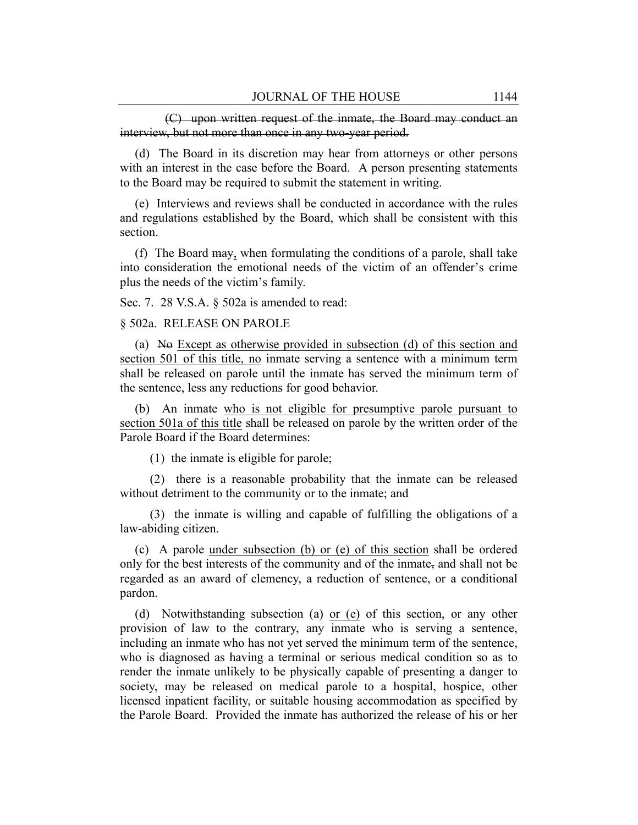(C) upon written request of the inmate, the Board may conduct an interview, but not more than once in any two-year period.

(d) The Board in its discretion may hear from attorneys or other persons with an interest in the case before the Board. A person presenting statements to the Board may be required to submit the statement in writing.

(e) Interviews and reviews shall be conducted in accordance with the rules and regulations established by the Board, which shall be consistent with this section.

(f) The Board may, when formulating the conditions of a parole, shall take into consideration the emotional needs of the victim of an offender's crime plus the needs of the victim's family.

Sec. 7. 28 V.S.A. § 502a is amended to read:

§ 502a. RELEASE ON PAROLE

(a) No Except as otherwise provided in subsection (d) of this section and section 501 of this title, no inmate serving a sentence with a minimum term shall be released on parole until the inmate has served the minimum term of the sentence, less any reductions for good behavior.

(b) An inmate who is not eligible for presumptive parole pursuant to section 501a of this title shall be released on parole by the written order of the Parole Board if the Board determines:

(1) the inmate is eligible for parole;

(2) there is a reasonable probability that the inmate can be released without detriment to the community or to the inmate; and

(3) the inmate is willing and capable of fulfilling the obligations of a law-abiding citizen.

(c) A parole under subsection (b) or (e) of this section shall be ordered only for the best interests of the community and of the inmate, and shall not be regarded as an award of clemency, a reduction of sentence, or a conditional pardon.

(d) Notwithstanding subsection (a) or (e) of this section, or any other provision of law to the contrary, any inmate who is serving a sentence, including an inmate who has not yet served the minimum term of the sentence, who is diagnosed as having a terminal or serious medical condition so as to render the inmate unlikely to be physically capable of presenting a danger to society, may be released on medical parole to a hospital, hospice, other licensed inpatient facility, or suitable housing accommodation as specified by the Parole Board. Provided the inmate has authorized the release of his or her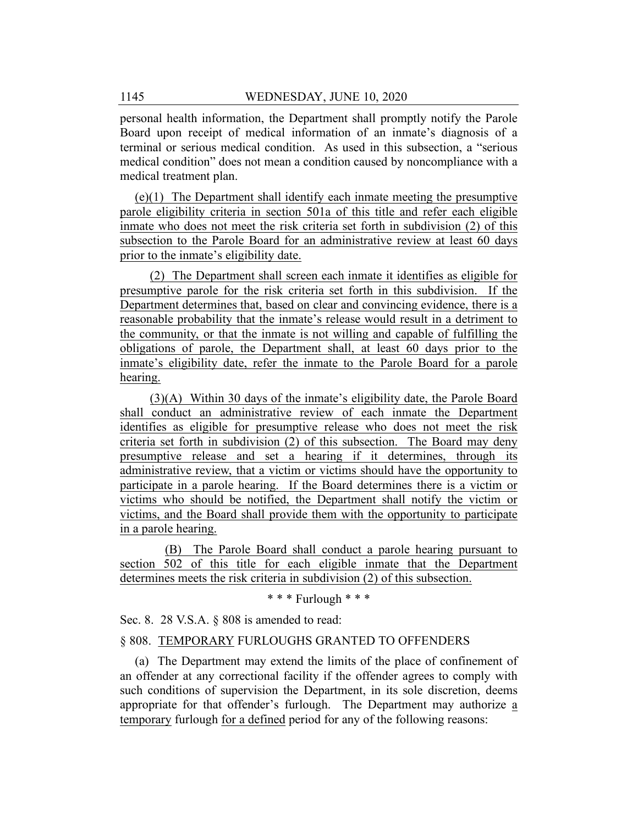personal health information, the Department shall promptly notify the Parole Board upon receipt of medical information of an inmate's diagnosis of a terminal or serious medical condition. As used in this subsection, a "serious medical condition" does not mean a condition caused by noncompliance with a medical treatment plan.

(e)(1) The Department shall identify each inmate meeting the presumptive parole eligibility criteria in section 501a of this title and refer each eligible inmate who does not meet the risk criteria set forth in subdivision (2) of this subsection to the Parole Board for an administrative review at least 60 days prior to the inmate's eligibility date.

(2) The Department shall screen each inmate it identifies as eligible for presumptive parole for the risk criteria set forth in this subdivision. If the Department determines that, based on clear and convincing evidence, there is a reasonable probability that the inmate's release would result in a detriment to the community, or that the inmate is not willing and capable of fulfilling the obligations of parole, the Department shall, at least 60 days prior to the inmate's eligibility date, refer the inmate to the Parole Board for a parole hearing.

(3)(A) Within 30 days of the inmate's eligibility date, the Parole Board shall conduct an administrative review of each inmate the Department identifies as eligible for presumptive release who does not meet the risk criteria set forth in subdivision (2) of this subsection. The Board may deny presumptive release and set a hearing if it determines, through its administrative review, that a victim or victims should have the opportunity to participate in a parole hearing. If the Board determines there is a victim or victims who should be notified, the Department shall notify the victim or victims, and the Board shall provide them with the opportunity to participate in a parole hearing.

(B) The Parole Board shall conduct a parole hearing pursuant to section 502 of this title for each eligible inmate that the Department determines meets the risk criteria in subdivision (2) of this subsection.

\* \* \* Furlough \* \* \*

Sec. 8. 28 V.S.A. § 808 is amended to read:

## § 808. TEMPORARY FURLOUGHS GRANTED TO OFFENDERS

(a) The Department may extend the limits of the place of confinement of an offender at any correctional facility if the offender agrees to comply with such conditions of supervision the Department, in its sole discretion, deems appropriate for that offender's furlough. The Department may authorize a temporary furlough for a defined period for any of the following reasons: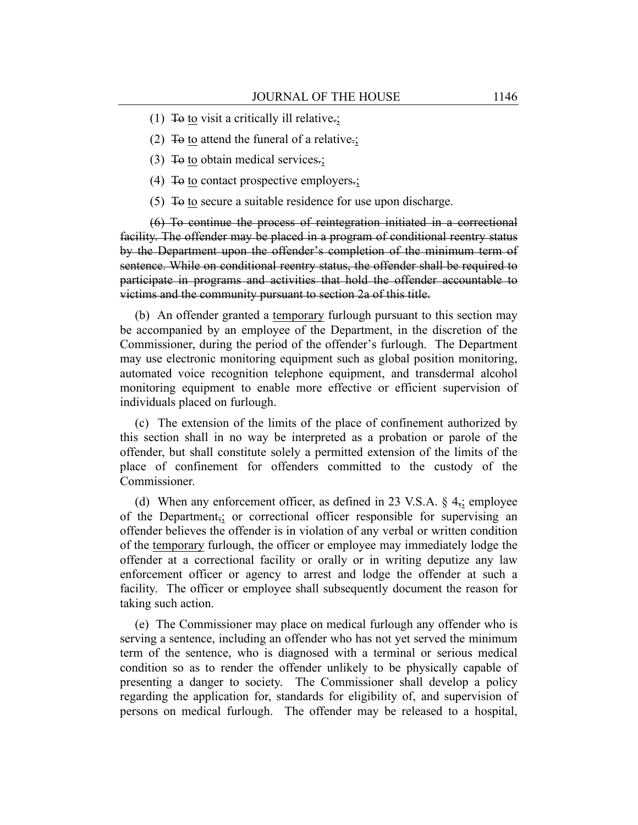- (1) To to visit a critically ill relative.;
- (2) To to attend the funeral of a relative.;
- (3) To to obtain medical services.;
- (4) To to contact prospective employers.;
- $(5)$  To to secure a suitable residence for use upon discharge.

(6) To continue the process of reintegration initiated in a correctional facility. The offender may be placed in a program of conditional reentry status by the Department upon the offender's completion of the minimum term of sentence. While on conditional reentry status, the offender shall be required to participate in programs and activities that hold the offender accountable to victims and the community pursuant to section 2a of this title.

(b) An offender granted a temporary furlough pursuant to this section may be accompanied by an employee of the Department, in the discretion of the Commissioner, during the period of the offender's furlough. The Department may use electronic monitoring equipment such as global position monitoring, automated voice recognition telephone equipment, and transdermal alcohol monitoring equipment to enable more effective or efficient supervision of individuals placed on furlough.

(c) The extension of the limits of the place of confinement authorized by this section shall in no way be interpreted as a probation or parole of the offender, but shall constitute solely a permitted extension of the limits of the place of confinement for offenders committed to the custody of the Commissioner.

(d) When any enforcement officer, as defined in 23 V.S.A.  $\S$  4<sub>7</sub>; employee of the Department<sub>5</sub>; or correctional officer responsible for supervising an offender believes the offender is in violation of any verbal or written condition of the temporary furlough, the officer or employee may immediately lodge the offender at a correctional facility or orally or in writing deputize any law enforcement officer or agency to arrest and lodge the offender at such a facility. The officer or employee shall subsequently document the reason for taking such action.

(e) The Commissioner may place on medical furlough any offender who is serving a sentence, including an offender who has not yet served the minimum term of the sentence, who is diagnosed with a terminal or serious medical condition so as to render the offender unlikely to be physically capable of presenting a danger to society. The Commissioner shall develop a policy regarding the application for, standards for eligibility of, and supervision of persons on medical furlough. The offender may be released to a hospital,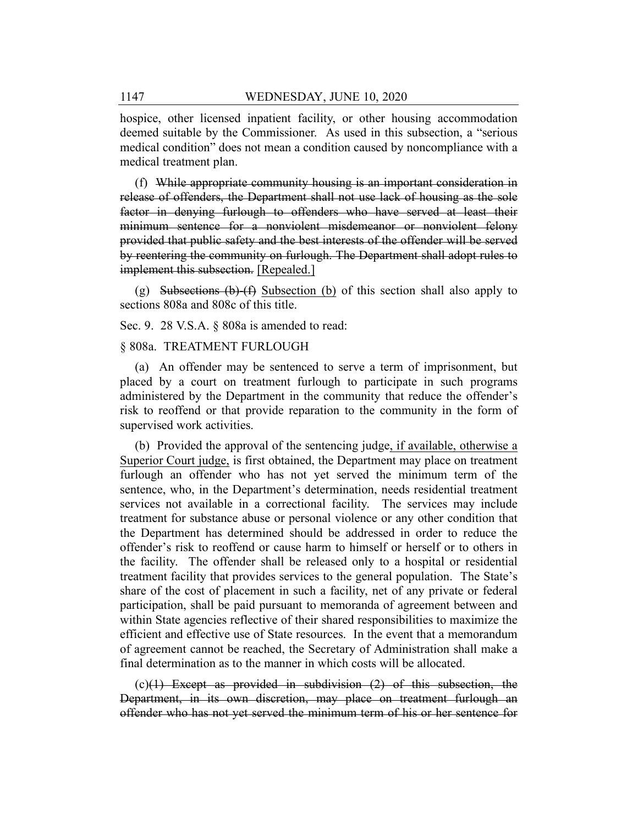hospice, other licensed inpatient facility, or other housing accommodation deemed suitable by the Commissioner. As used in this subsection, a "serious medical condition" does not mean a condition caused by noncompliance with a medical treatment plan.

(f) While appropriate community housing is an important consideration in release of offenders, the Department shall not use lack of housing as the sole factor in denying furlough to offenders who have served at least their minimum sentence for a nonviolent misdemeanor or nonviolent felony provided that public safety and the best interests of the offender will be served by reentering the community on furlough. The Department shall adopt rules to implement this subsection. [Repealed.]

(g) Subsections  $(b)$ - $(f)$  Subsection  $(b)$  of this section shall also apply to sections 808a and 808c of this title.

Sec. 9. 28 V.S.A. § 808a is amended to read:

## § 808a. TREATMENT FURLOUGH

(a) An offender may be sentenced to serve a term of imprisonment, but placed by a court on treatment furlough to participate in such programs administered by the Department in the community that reduce the offender's risk to reoffend or that provide reparation to the community in the form of supervised work activities.

(b) Provided the approval of the sentencing judge, if available, otherwise a Superior Court judge, is first obtained, the Department may place on treatment furlough an offender who has not yet served the minimum term of the sentence, who, in the Department's determination, needs residential treatment services not available in a correctional facility. The services may include treatment for substance abuse or personal violence or any other condition that the Department has determined should be addressed in order to reduce the offender's risk to reoffend or cause harm to himself or herself or to others in the facility. The offender shall be released only to a hospital or residential treatment facility that provides services to the general population. The State's share of the cost of placement in such a facility, net of any private or federal participation, shall be paid pursuant to memoranda of agreement between and within State agencies reflective of their shared responsibilities to maximize the efficient and effective use of State resources. In the event that a memorandum of agreement cannot be reached, the Secretary of Administration shall make a final determination as to the manner in which costs will be allocated.

 $(c)(1)$  Except as provided in subdivision  $(2)$  of this subsection, the Department, in its own discretion, may place on treatment furlough an offender who has not yet served the minimum term of his or her sentence for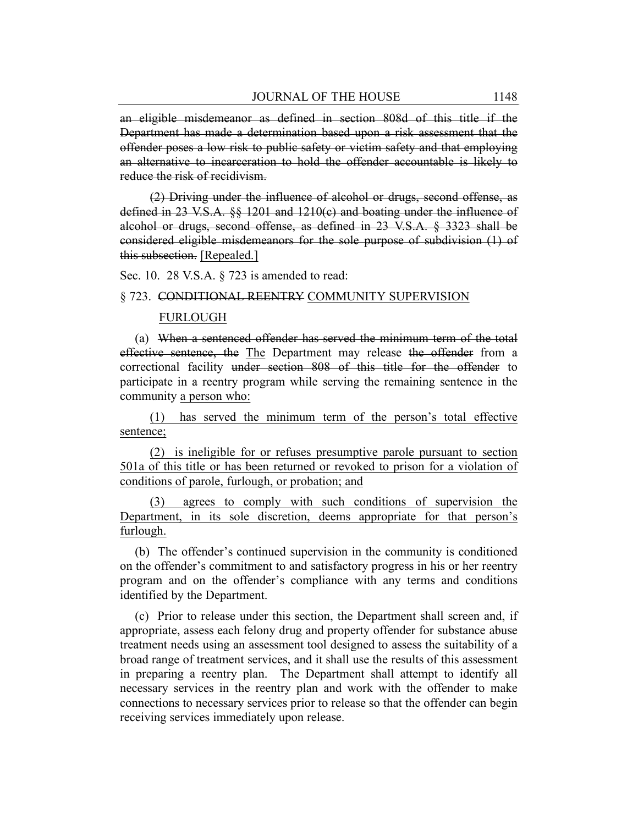an eligible misdemeanor as defined in section 808d of this title if the Department has made a determination based upon a risk assessment that the offender poses a low risk to public safety or victim safety and that employing an alternative to incarceration to hold the offender accountable is likely to reduce the risk of recidivism.

(2) Driving under the influence of alcohol or drugs, second offense, as defined in 23 V.S.A. §§ 1201 and 1210(c) and boating under the influence of alcohol or drugs, second offense, as defined in 23 V.S.A. § 3323 shall be considered eligible misdemeanors for the sole purpose of subdivision (1) of this subsection. [Repealed.]

Sec. 10. 28 V.S.A. § 723 is amended to read:

#### § 723. CONDITIONAL REENTRY COMMUNITY SUPERVISION

#### FURLOUGH

(a) When a sentenced offender has served the minimum term of the total effective sentence, the The Department may release the offender from a correctional facility under section 808 of this title for the offender to participate in a reentry program while serving the remaining sentence in the community a person who:

(1) has served the minimum term of the person's total effective sentence;

(2) is ineligible for or refuses presumptive parole pursuant to section 501a of this title or has been returned or revoked to prison for a violation of conditions of parole, furlough, or probation; and

agrees to comply with such conditions of supervision the Department, in its sole discretion, deems appropriate for that person's furlough.

(b) The offender's continued supervision in the community is conditioned on the offender's commitment to and satisfactory progress in his or her reentry program and on the offender's compliance with any terms and conditions identified by the Department.

(c) Prior to release under this section, the Department shall screen and, if appropriate, assess each felony drug and property offender for substance abuse treatment needs using an assessment tool designed to assess the suitability of a broad range of treatment services, and it shall use the results of this assessment in preparing a reentry plan. The Department shall attempt to identify all necessary services in the reentry plan and work with the offender to make connections to necessary services prior to release so that the offender can begin receiving services immediately upon release.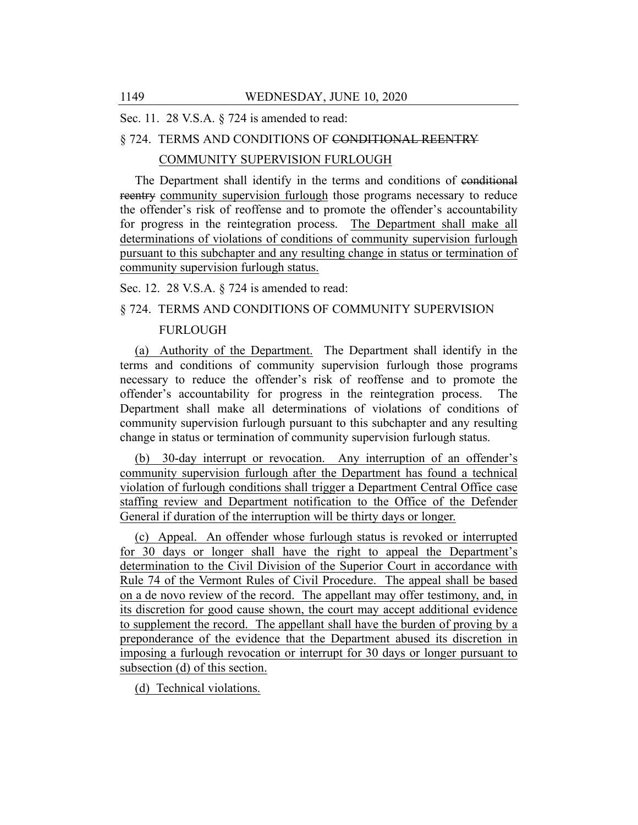Sec. 11. 28 V.S.A. § 724 is amended to read:

## § 724. TERMS AND CONDITIONS OF CONDITIONAL REENTRY

## COMMUNITY SUPERVISION FURLOUGH

The Department shall identify in the terms and conditions of conditional reentry community supervision furlough those programs necessary to reduce the offender's risk of reoffense and to promote the offender's accountability for progress in the reintegration process. The Department shall make all determinations of violations of conditions of community supervision furlough pursuant to this subchapter and any resulting change in status or termination of community supervision furlough status.

Sec. 12. 28 V.S.A. § 724 is amended to read:

## § 724. TERMS AND CONDITIONS OF COMMUNITY SUPERVISION

## FURLOUGH

(a) Authority of the Department. The Department shall identify in the terms and conditions of community supervision furlough those programs necessary to reduce the offender's risk of reoffense and to promote the offender's accountability for progress in the reintegration process. The Department shall make all determinations of violations of conditions of community supervision furlough pursuant to this subchapter and any resulting change in status or termination of community supervision furlough status.

(b) 30-day interrupt or revocation. Any interruption of an offender's community supervision furlough after the Department has found a technical violation of furlough conditions shall trigger a Department Central Office case staffing review and Department notification to the Office of the Defender General if duration of the interruption will be thirty days or longer.

(c) Appeal. An offender whose furlough status is revoked or interrupted for 30 days or longer shall have the right to appeal the Department's determination to the Civil Division of the Superior Court in accordance with Rule 74 of the Vermont Rules of Civil Procedure. The appeal shall be based on a de novo review of the record. The appellant may offer testimony, and, in its discretion for good cause shown, the court may accept additional evidence to supplement the record. The appellant shall have the burden of proving by a preponderance of the evidence that the Department abused its discretion in imposing a furlough revocation or interrupt for 30 days or longer pursuant to subsection (d) of this section.

(d) Technical violations.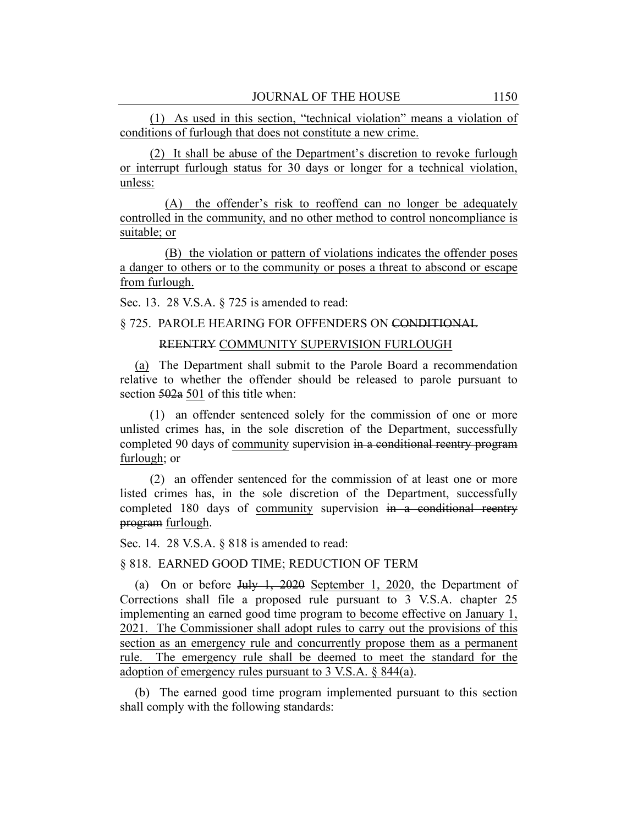(1) As used in this section, "technical violation" means a violation of conditions of furlough that does not constitute a new crime.

(2) It shall be abuse of the Department's discretion to revoke furlough or interrupt furlough status for 30 days or longer for a technical violation, unless:

(A) the offender's risk to reoffend can no longer be adequately controlled in the community, and no other method to control noncompliance is suitable; or

(B) the violation or pattern of violations indicates the offender poses a danger to others or to the community or poses a threat to abscond or escape from furlough.

Sec. 13. 28 V.S.A. § 725 is amended to read:

#### § 725. PAROLE HEARING FOR OFFENDERS ON CONDITIONAL

## REENTRY COMMUNITY SUPERVISION FURLOUGH

(a) The Department shall submit to the Parole Board a recommendation relative to whether the offender should be released to parole pursuant to section 502a 501 of this title when:

(1) an offender sentenced solely for the commission of one or more unlisted crimes has, in the sole discretion of the Department, successfully completed 90 days of community supervision in a conditional reentry program furlough; or

(2) an offender sentenced for the commission of at least one or more listed crimes has, in the sole discretion of the Department, successfully completed 180 days of community supervision in a conditional reentry program furlough.

Sec. 14. 28 V.S.A. § 818 is amended to read:

## § 818. EARNED GOOD TIME; REDUCTION OF TERM

(a) On or before July 1, 2020 September 1, 2020, the Department of Corrections shall file a proposed rule pursuant to 3 V.S.A. chapter 25 implementing an earned good time program to become effective on January 1, 2021. The Commissioner shall adopt rules to carry out the provisions of this section as an emergency rule and concurrently propose them as a permanent rule. The emergency rule shall be deemed to meet the standard for the adoption of emergency rules pursuant to 3 V.S.A. § 844(a).

(b) The earned good time program implemented pursuant to this section shall comply with the following standards: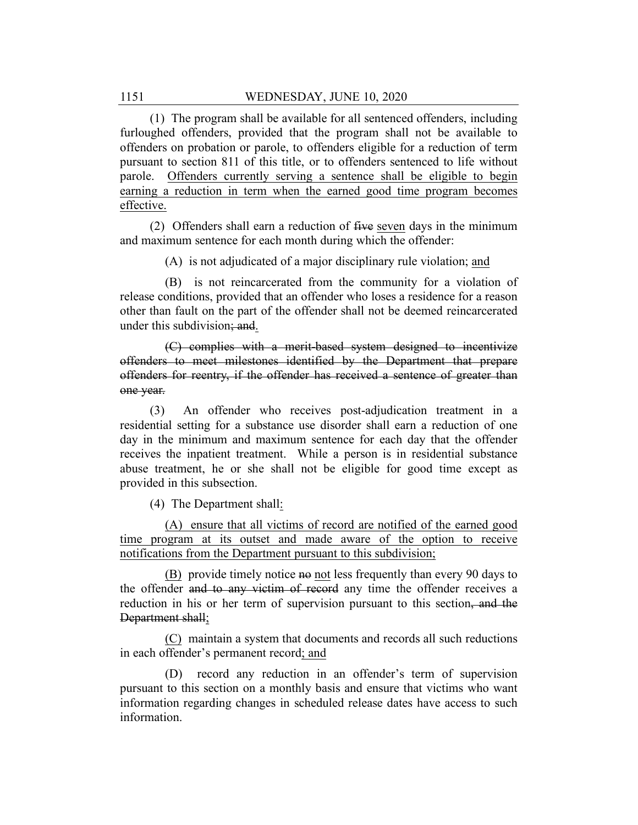(1) The program shall be available for all sentenced offenders, including furloughed offenders, provided that the program shall not be available to offenders on probation or parole, to offenders eligible for a reduction of term pursuant to section 811 of this title, or to offenders sentenced to life without parole. Offenders currently serving a sentence shall be eligible to begin earning a reduction in term when the earned good time program becomes effective.

(2) Offenders shall earn a reduction of five seven days in the minimum and maximum sentence for each month during which the offender:

(A) is not adjudicated of a major disciplinary rule violation; and

(B) is not reincarcerated from the community for a violation of release conditions, provided that an offender who loses a residence for a reason other than fault on the part of the offender shall not be deemed reincarcerated under this subdivision; and.

(C) complies with a merit-based system designed to incentivize offenders to meet milestones identified by the Department that prepare offenders for reentry, if the offender has received a sentence of greater than one year.

(3) An offender who receives post-adjudication treatment in a residential setting for a substance use disorder shall earn a reduction of one day in the minimum and maximum sentence for each day that the offender receives the inpatient treatment. While a person is in residential substance abuse treatment, he or she shall not be eligible for good time except as provided in this subsection.

(4) The Department shall:

(A) ensure that all victims of record are notified of the earned good time program at its outset and made aware of the option to receive notifications from the Department pursuant to this subdivision;

(B) provide timely notice no not less frequently than every 90 days to the offender and to any victim of record any time the offender receives a reduction in his or her term of supervision pursuant to this section, and the Department shall;

(C) maintain a system that documents and records all such reductions in each offender's permanent record; and

(D) record any reduction in an offender's term of supervision pursuant to this section on a monthly basis and ensure that victims who want information regarding changes in scheduled release dates have access to such information.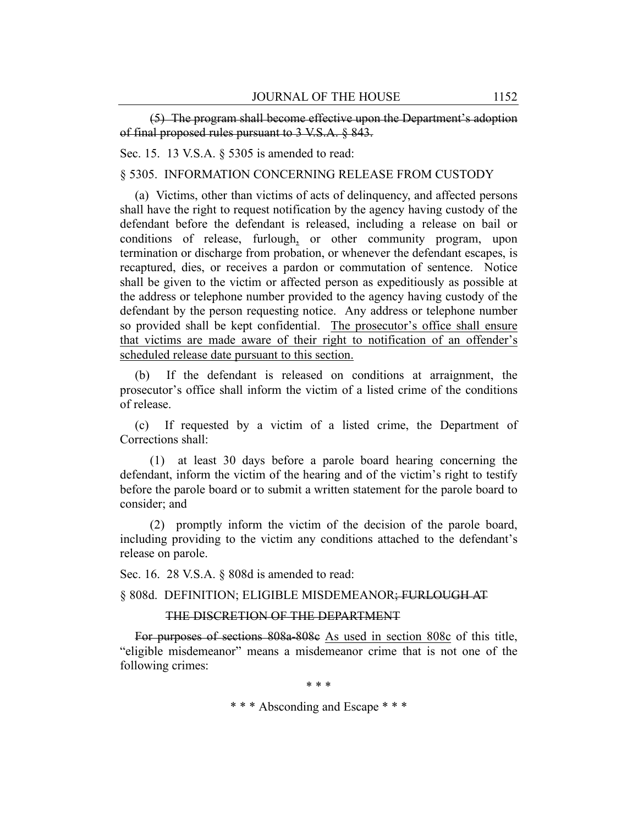(5) The program shall become effective upon the Department's adoption of final proposed rules pursuant to 3 V.S.A. § 843.

Sec. 15. 13 V.S.A. § 5305 is amended to read:

§ 5305. INFORMATION CONCERNING RELEASE FROM CUSTODY

(a) Victims, other than victims of acts of delinquency, and affected persons shall have the right to request notification by the agency having custody of the defendant before the defendant is released, including a release on bail or conditions of release, furlough, or other community program, upon termination or discharge from probation, or whenever the defendant escapes, is recaptured, dies, or receives a pardon or commutation of sentence. Notice shall be given to the victim or affected person as expeditiously as possible at the address or telephone number provided to the agency having custody of the defendant by the person requesting notice. Any address or telephone number so provided shall be kept confidential. The prosecutor's office shall ensure that victims are made aware of their right to notification of an offender's scheduled release date pursuant to this section.

(b) If the defendant is released on conditions at arraignment, the prosecutor's office shall inform the victim of a listed crime of the conditions of release.

(c) If requested by a victim of a listed crime, the Department of Corrections shall:

(1) at least 30 days before a parole board hearing concerning the defendant, inform the victim of the hearing and of the victim's right to testify before the parole board or to submit a written statement for the parole board to consider; and

(2) promptly inform the victim of the decision of the parole board, including providing to the victim any conditions attached to the defendant's release on parole.

Sec. 16. 28 V.S.A. § 808d is amended to read:

§ 808d. DEFINITION; ELIGIBLE MISDEMEANOR; FURLOUGH AT

## THE DISCRETION OF THE DEPARTMENT

For purposes of sections 808a-808c As used in section 808c of this title, "eligible misdemeanor" means a misdemeanor crime that is not one of the following crimes:

\* \* \*

\* \* \* Absconding and Escape \* \* \*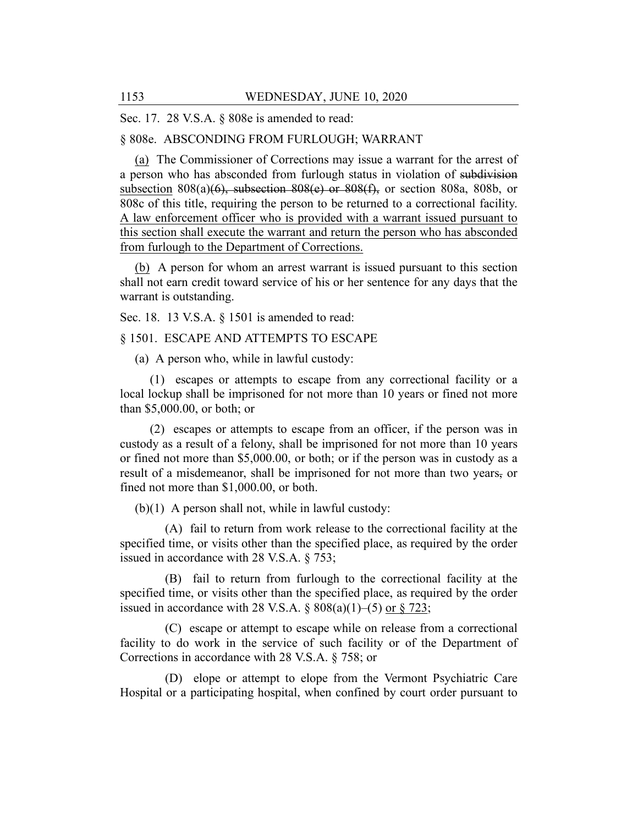Sec. 17. 28 V.S.A. § 808e is amended to read:

## § 808e. ABSCONDING FROM FURLOUGH; WARRANT

(a) The Commissioner of Corrections may issue a warrant for the arrest of a person who has absconded from furlough status in violation of subdivision subsection  $808(a)(6)$ , subsection  $808(e)$  or  $808(f)$ , or section  $808a$ ,  $808b$ , or 808c of this title, requiring the person to be returned to a correctional facility. A law enforcement officer who is provided with a warrant issued pursuant to this section shall execute the warrant and return the person who has absconded from furlough to the Department of Corrections.

(b) A person for whom an arrest warrant is issued pursuant to this section shall not earn credit toward service of his or her sentence for any days that the warrant is outstanding.

Sec. 18. 13 V.S.A. § 1501 is amended to read:

#### § 1501. ESCAPE AND ATTEMPTS TO ESCAPE

(a) A person who, while in lawful custody:

(1) escapes or attempts to escape from any correctional facility or a local lockup shall be imprisoned for not more than 10 years or fined not more than \$5,000.00, or both; or

(2) escapes or attempts to escape from an officer, if the person was in custody as a result of a felony, shall be imprisoned for not more than 10 years or fined not more than \$5,000.00, or both; or if the person was in custody as a result of a misdemeanor, shall be imprisoned for not more than two years, or fined not more than \$1,000.00, or both.

(b)(1) A person shall not, while in lawful custody:

(A) fail to return from work release to the correctional facility at the specified time, or visits other than the specified place, as required by the order issued in accordance with 28 V.S.A. § 753;

(B) fail to return from furlough to the correctional facility at the specified time, or visits other than the specified place, as required by the order issued in accordance with 28 V.S.A.  $\S 808(a)(1)$ –(5) or  $\S 723$ ;

(C) escape or attempt to escape while on release from a correctional facility to do work in the service of such facility or of the Department of Corrections in accordance with 28 V.S.A. § 758; or

(D) elope or attempt to elope from the Vermont Psychiatric Care Hospital or a participating hospital, when confined by court order pursuant to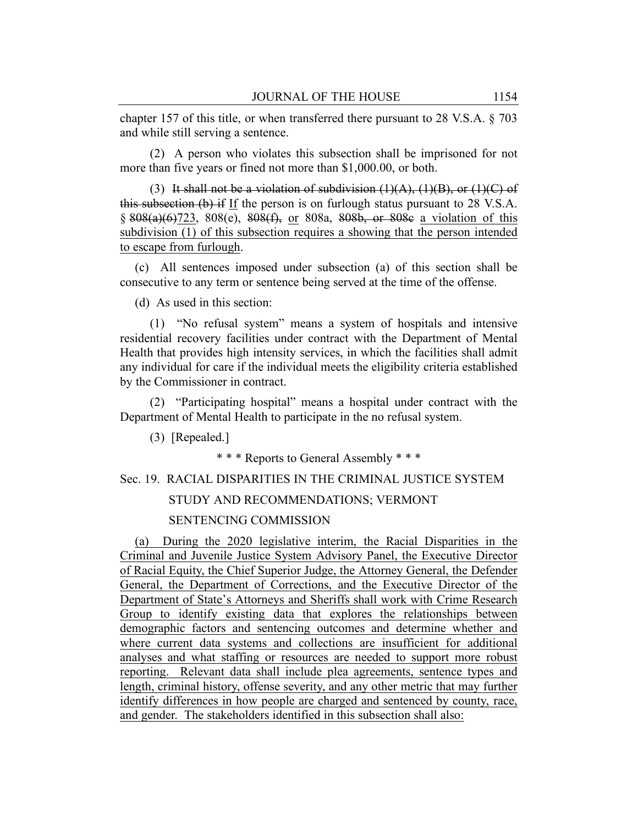chapter 157 of this title, or when transferred there pursuant to 28 V.S.A. § 703 and while still serving a sentence.

(2) A person who violates this subsection shall be imprisoned for not more than five years or fined not more than \$1,000.00, or both.

(3) It shall not be a violation of subdivision  $(1)(A)$ ,  $(1)(B)$ , or  $(1)(C)$  of this subsection  $(b)$  if If the person is on furlough status pursuant to 28 V.S.A. § 808(a)(6)723, 808(e), 808(f), or 808a, 808b, or 808c a violation of this subdivision (1) of this subsection requires a showing that the person intended to escape from furlough.

(c) All sentences imposed under subsection (a) of this section shall be consecutive to any term or sentence being served at the time of the offense.

(d) As used in this section:

(1) "No refusal system" means a system of hospitals and intensive residential recovery facilities under contract with the Department of Mental Health that provides high intensity services, in which the facilities shall admit any individual for care if the individual meets the eligibility criteria established by the Commissioner in contract.

(2) "Participating hospital" means a hospital under contract with the Department of Mental Health to participate in the no refusal system.

(3) [Repealed.]

\* \* \* Reports to General Assembly \* \* \*

Sec. 19. RACIAL DISPARITIES IN THE CRIMINAL JUSTICE SYSTEM

#### STUDY AND RECOMMENDATIONS; VERMONT

#### SENTENCING COMMISSION

(a) During the 2020 legislative interim, the Racial Disparities in the Criminal and Juvenile Justice System Advisory Panel, the Executive Director of Racial Equity, the Chief Superior Judge, the Attorney General, the Defender General, the Department of Corrections, and the Executive Director of the Department of State's Attorneys and Sheriffs shall work with Crime Research Group to identify existing data that explores the relationships between demographic factors and sentencing outcomes and determine whether and where current data systems and collections are insufficient for additional analyses and what staffing or resources are needed to support more robust reporting. Relevant data shall include plea agreements, sentence types and length, criminal history, offense severity, and any other metric that may further identify differences in how people are charged and sentenced by county, race, and gender. The stakeholders identified in this subsection shall also: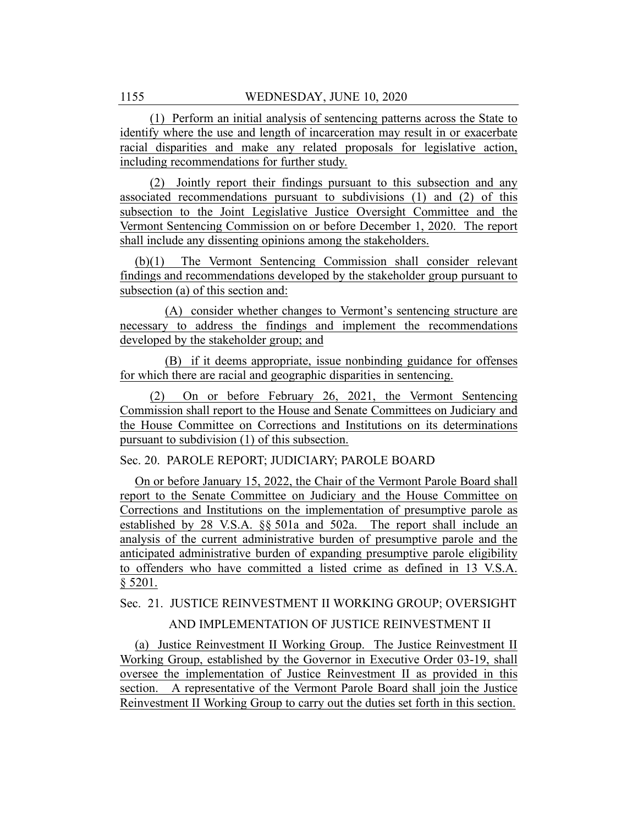(1) Perform an initial analysis of sentencing patterns across the State to identify where the use and length of incarceration may result in or exacerbate racial disparities and make any related proposals for legislative action, including recommendations for further study.

(2) Jointly report their findings pursuant to this subsection and any associated recommendations pursuant to subdivisions (1) and (2) of this subsection to the Joint Legislative Justice Oversight Committee and the Vermont Sentencing Commission on or before December 1, 2020. The report shall include any dissenting opinions among the stakeholders.

(b)(1) The Vermont Sentencing Commission shall consider relevant findings and recommendations developed by the stakeholder group pursuant to subsection (a) of this section and:

(A) consider whether changes to Vermont's sentencing structure are necessary to address the findings and implement the recommendations developed by the stakeholder group; and

(B) if it deems appropriate, issue nonbinding guidance for offenses for which there are racial and geographic disparities in sentencing.

(2) On or before February 26, 2021, the Vermont Sentencing Commission shall report to the House and Senate Committees on Judiciary and the House Committee on Corrections and Institutions on its determinations pursuant to subdivision (1) of this subsection.

Sec. 20. PAROLE REPORT; JUDICIARY; PAROLE BOARD

On or before January 15, 2022, the Chair of the Vermont Parole Board shall report to the Senate Committee on Judiciary and the House Committee on Corrections and Institutions on the implementation of presumptive parole as established by 28 V.S.A. §§ 501a and 502a. The report shall include an analysis of the current administrative burden of presumptive parole and the anticipated administrative burden of expanding presumptive parole eligibility to offenders who have committed a listed crime as defined in 13 V.S.A. § 5201.

Sec. 21. JUSTICE REINVESTMENT II WORKING GROUP; OVERSIGHT

AND IMPLEMENTATION OF JUSTICE REINVESTMENT II

(a) Justice Reinvestment II Working Group. The Justice Reinvestment II Working Group, established by the Governor in Executive Order 03-19, shall oversee the implementation of Justice Reinvestment II as provided in this section. A representative of the Vermont Parole Board shall join the Justice Reinvestment II Working Group to carry out the duties set forth in this section.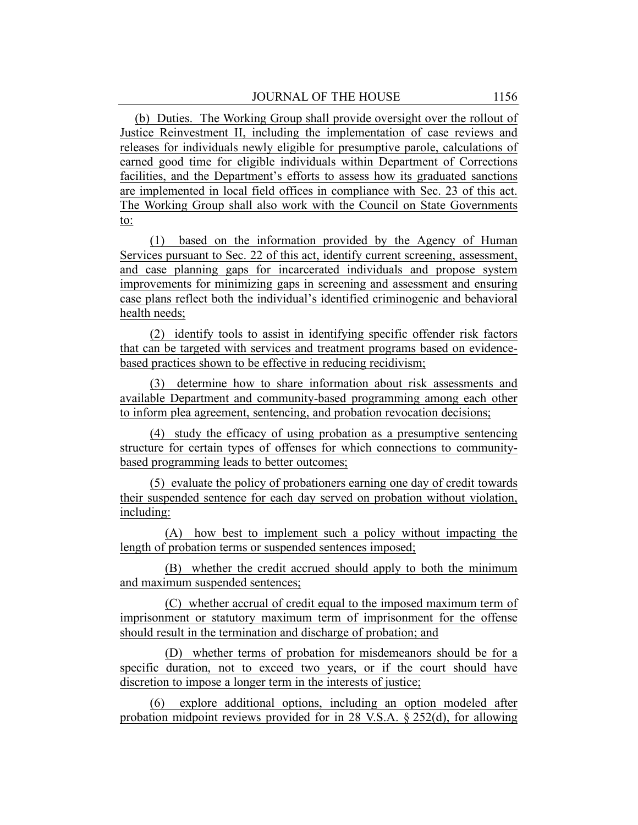(b) Duties. The Working Group shall provide oversight over the rollout of Justice Reinvestment II, including the implementation of case reviews and releases for individuals newly eligible for presumptive parole, calculations of earned good time for eligible individuals within Department of Corrections facilities, and the Department's efforts to assess how its graduated sanctions are implemented in local field offices in compliance with Sec. 23 of this act. The Working Group shall also work with the Council on State Governments to:

(1) based on the information provided by the Agency of Human Services pursuant to Sec. 22 of this act, identify current screening, assessment, and case planning gaps for incarcerated individuals and propose system improvements for minimizing gaps in screening and assessment and ensuring case plans reflect both the individual's identified criminogenic and behavioral health needs;

(2) identify tools to assist in identifying specific offender risk factors that can be targeted with services and treatment programs based on evidencebased practices shown to be effective in reducing recidivism;

(3) determine how to share information about risk assessments and available Department and community-based programming among each other to inform plea agreement, sentencing, and probation revocation decisions;

(4) study the efficacy of using probation as a presumptive sentencing structure for certain types of offenses for which connections to communitybased programming leads to better outcomes;

(5) evaluate the policy of probationers earning one day of credit towards their suspended sentence for each day served on probation without violation, including:

(A) how best to implement such a policy without impacting the length of probation terms or suspended sentences imposed;

(B) whether the credit accrued should apply to both the minimum and maximum suspended sentences;

(C) whether accrual of credit equal to the imposed maximum term of imprisonment or statutory maximum term of imprisonment for the offense should result in the termination and discharge of probation; and

(D) whether terms of probation for misdemeanors should be for a specific duration, not to exceed two years, or if the court should have discretion to impose a longer term in the interests of justice;

(6) explore additional options, including an option modeled after probation midpoint reviews provided for in 28 V.S.A. § 252(d), for allowing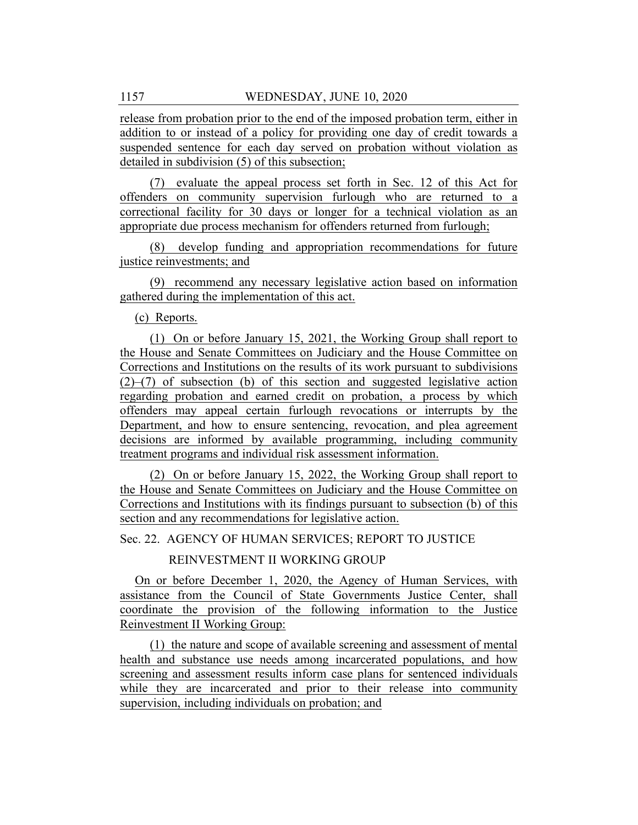release from probation prior to the end of the imposed probation term, either in addition to or instead of a policy for providing one day of credit towards a suspended sentence for each day served on probation without violation as detailed in subdivision (5) of this subsection;

(7) evaluate the appeal process set forth in Sec. 12 of this Act for offenders on community supervision furlough who are returned to a correctional facility for 30 days or longer for a technical violation as an appropriate due process mechanism for offenders returned from furlough;

(8) develop funding and appropriation recommendations for future justice reinvestments; and

(9) recommend any necessary legislative action based on information gathered during the implementation of this act.

(c) Reports.

(1) On or before January 15, 2021, the Working Group shall report to the House and Senate Committees on Judiciary and the House Committee on Corrections and Institutions on the results of its work pursuant to subdivisions  $(2)$ – $(7)$  of subsection (b) of this section and suggested legislative action regarding probation and earned credit on probation, a process by which offenders may appeal certain furlough revocations or interrupts by the Department, and how to ensure sentencing, revocation, and plea agreement decisions are informed by available programming, including community treatment programs and individual risk assessment information.

(2) On or before January 15, 2022, the Working Group shall report to the House and Senate Committees on Judiciary and the House Committee on Corrections and Institutions with its findings pursuant to subsection (b) of this section and any recommendations for legislative action.

Sec. 22. AGENCY OF HUMAN SERVICES; REPORT TO JUSTICE

REINVESTMENT II WORKING GROUP

On or before December 1, 2020, the Agency of Human Services, with assistance from the Council of State Governments Justice Center, shall coordinate the provision of the following information to the Justice Reinvestment II Working Group:

(1) the nature and scope of available screening and assessment of mental health and substance use needs among incarcerated populations, and how screening and assessment results inform case plans for sentenced individuals while they are incarcerated and prior to their release into community supervision, including individuals on probation; and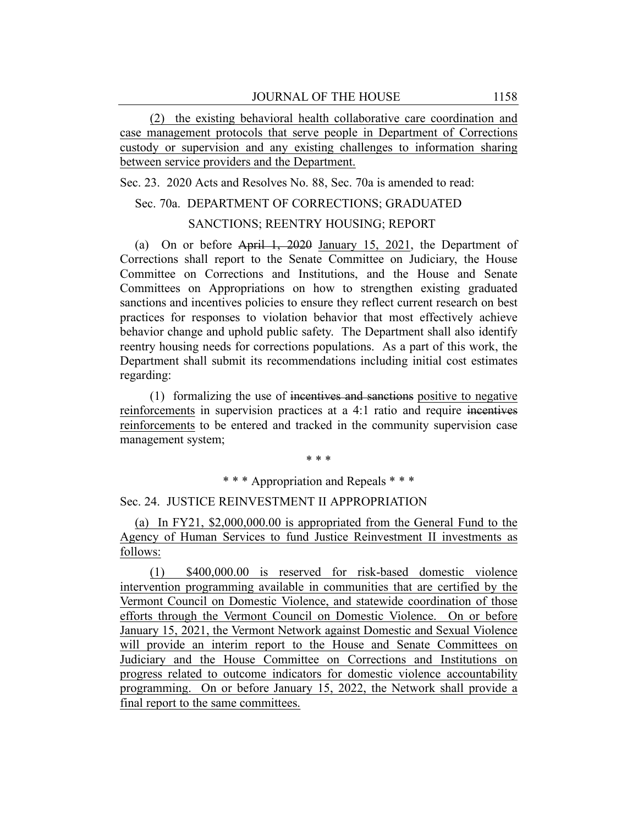(2) the existing behavioral health collaborative care coordination and case management protocols that serve people in Department of Corrections custody or supervision and any existing challenges to information sharing between service providers and the Department.

Sec. 23. 2020 Acts and Resolves No. 88, Sec. 70a is amended to read:

## Sec. 70a. DEPARTMENT OF CORRECTIONS; GRADUATED

## SANCTIONS; REENTRY HOUSING; REPORT

(a) On or before April 1, 2020 January 15, 2021, the Department of Corrections shall report to the Senate Committee on Judiciary, the House Committee on Corrections and Institutions, and the House and Senate Committees on Appropriations on how to strengthen existing graduated sanctions and incentives policies to ensure they reflect current research on best practices for responses to violation behavior that most effectively achieve behavior change and uphold public safety. The Department shall also identify reentry housing needs for corrections populations. As a part of this work, the Department shall submit its recommendations including initial cost estimates regarding:

(1) formalizing the use of incentives and sanctions positive to negative reinforcements in supervision practices at a 4:1 ratio and require incentives reinforcements to be entered and tracked in the community supervision case management system;

\* \* \*

#### \* \* \* Appropriation and Repeals \* \* \*

## Sec. 24. JUSTICE REINVESTMENT II APPROPRIATION

(a) In FY21, \$2,000,000.00 is appropriated from the General Fund to the Agency of Human Services to fund Justice Reinvestment II investments as follows:

(1) \$400,000.00 is reserved for risk-based domestic violence intervention programming available in communities that are certified by the Vermont Council on Domestic Violence, and statewide coordination of those efforts through the Vermont Council on Domestic Violence. On or before January 15, 2021, the Vermont Network against Domestic and Sexual Violence will provide an interim report to the House and Senate Committees on Judiciary and the House Committee on Corrections and Institutions on progress related to outcome indicators for domestic violence accountability programming. On or before January 15, 2022, the Network shall provide a final report to the same committees.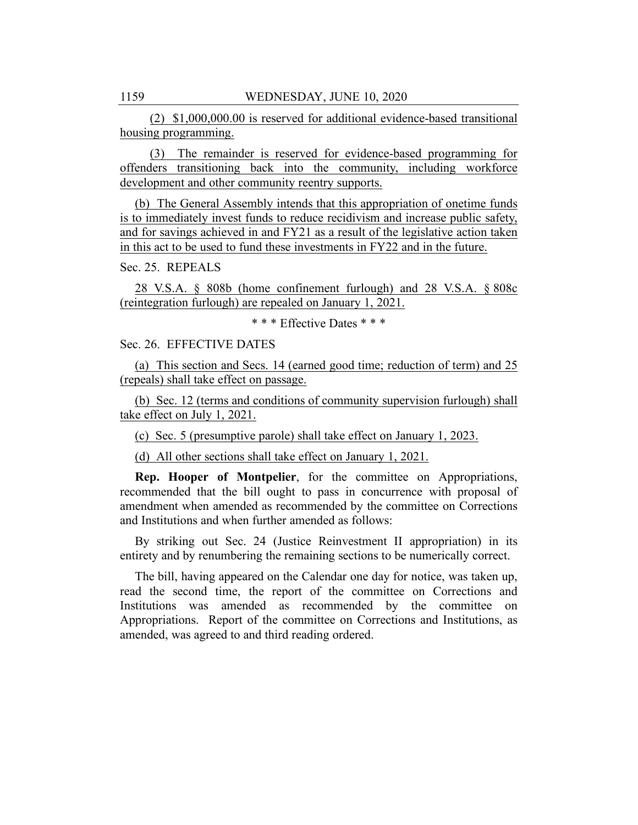(2) \$1,000,000.00 is reserved for additional evidence-based transitional housing programming.

(3) The remainder is reserved for evidence-based programming for offenders transitioning back into the community, including workforce development and other community reentry supports.

(b) The General Assembly intends that this appropriation of onetime funds is to immediately invest funds to reduce recidivism and increase public safety, and for savings achieved in and FY21 as a result of the legislative action taken in this act to be used to fund these investments in FY22 and in the future.

Sec. 25. REPEALS

28 V.S.A. § 808b (home confinement furlough) and 28 V.S.A. § 808c (reintegration furlough) are repealed on January 1, 2021.

\* \* \* Effective Dates \* \* \*

Sec. 26. EFFECTIVE DATES

(a) This section and Secs. 14 (earned good time; reduction of term) and 25 (repeals) shall take effect on passage.

(b) Sec. 12 (terms and conditions of community supervision furlough) shall take effect on July 1, 2021.

(c) Sec. 5 (presumptive parole) shall take effect on January 1, 2023.

(d) All other sections shall take effect on January 1, 2021.

**Rep. Hooper of Montpelier**, for the committee on Appropriations, recommended that the bill ought to pass in concurrence with proposal of amendment when amended as recommended by the committee on Corrections and Institutions and when further amended as follows:

By striking out Sec. 24 (Justice Reinvestment II appropriation) in its entirety and by renumbering the remaining sections to be numerically correct.

The bill, having appeared on the Calendar one day for notice, was taken up, read the second time, the report of the committee on Corrections and Institutions was amended as recommended by the committee on Appropriations. Report of the committee on Corrections and Institutions, as amended, was agreed to and third reading ordered.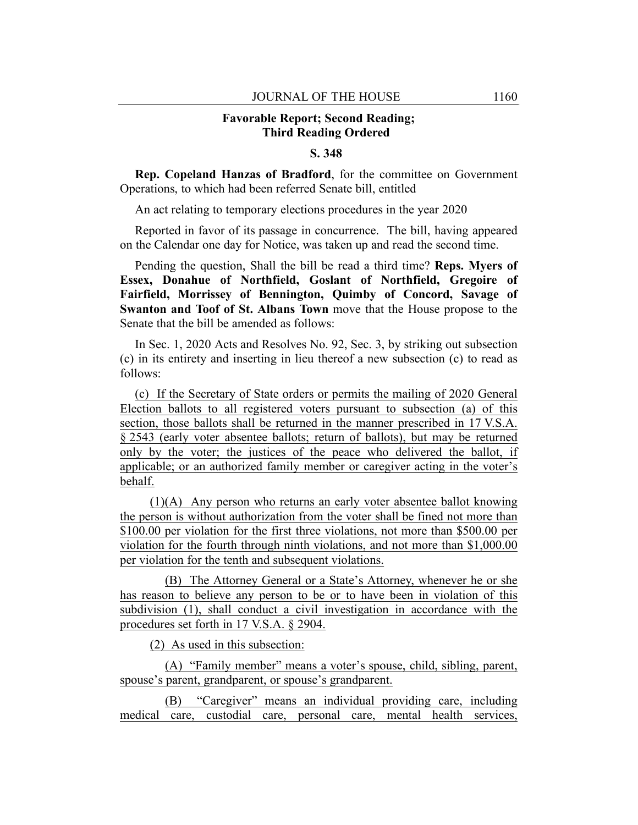## **Favorable Report; Second Reading; Third Reading Ordered**

## **S. 348**

**Rep. Copeland Hanzas of Bradford**, for the committee on Government Operations, to which had been referred Senate bill, entitled

An act relating to temporary elections procedures in the year 2020

Reported in favor of its passage in concurrence. The bill, having appeared on the Calendar one day for Notice, was taken up and read the second time.

Pending the question, Shall the bill be read a third time? **Reps. Myers of Essex, Donahue of Northfield, Goslant of Northfield, Gregoire of Fairfield, Morrissey of Bennington, Quimby of Concord, Savage of Swanton and Toof of St. Albans Town** move that the House propose to the Senate that the bill be amended as follows:

In Sec. 1, 2020 Acts and Resolves No. 92, Sec. 3, by striking out subsection (c) in its entirety and inserting in lieu thereof a new subsection (c) to read as follows:

(c) If the Secretary of State orders or permits the mailing of 2020 General Election ballots to all registered voters pursuant to subsection (a) of this section, those ballots shall be returned in the manner prescribed in 17 V.S.A. § 2543 (early voter absentee ballots; return of ballots), but may be returned only by the voter; the justices of the peace who delivered the ballot, if applicable; or an authorized family member or caregiver acting in the voter's behalf.

(1)(A) Any person who returns an early voter absentee ballot knowing the person is without authorization from the voter shall be fined not more than \$100.00 per violation for the first three violations, not more than \$500.00 per violation for the fourth through ninth violations, and not more than \$1,000.00 per violation for the tenth and subsequent violations.

(B) The Attorney General or a State's Attorney, whenever he or she has reason to believe any person to be or to have been in violation of this subdivision (1), shall conduct a civil investigation in accordance with the procedures set forth in 17 V.S.A. § 2904.

(2) As used in this subsection:

(A) "Family member" means a voter's spouse, child, sibling, parent, spouse's parent, grandparent, or spouse's grandparent.

(B) "Caregiver" means an individual providing care, including medical care, custodial care, personal care, mental health services,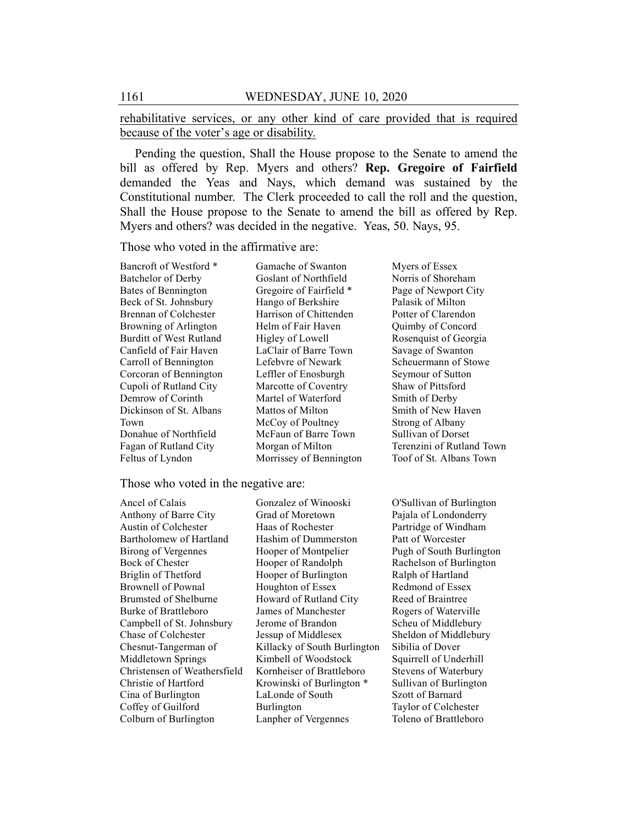rehabilitative services, or any other kind of care provided that is required because of the voter's age or disability.

Pending the question, Shall the House propose to the Senate to amend the bill as offered by Rep. Myers and others? **Rep. Gregoire of Fairfield** demanded the Yeas and Nays, which demand was sustained by the Constitutional number. The Clerk proceeded to call the roll and the question, Shall the House propose to the Senate to amend the bill as offered by Rep. Myers and others? was decided in the negative. Yeas, 50. Nays, 95.

Those who voted in the affirmative are:

Bancroft of Westford \* Batchelor of Derby Bates of Bennington Beck of St. Johnsbury Brennan of Colchester Browning of Arlington Burditt of West Rutland Canfield of Fair Haven Carroll of Bennington Corcoran of Bennington Cupoli of Rutland City Demrow of Corinth Dickinson of St. Albans Town Donahue of Northfield Fagan of Rutland City Feltus of Lyndon

Gamache of Swanton Goslant of Northfield Gregoire of Fairfield \* Hango of Berkshire Harrison of Chittenden Helm of Fair Haven Higley of Lowell LaClair of Barre Town Lefebvre of Newark Leffler of Enosburgh Marcotte of Coventry Martel of Waterford Mattos of Milton McCoy of Poultney McFaun of Barre Town Morgan of Milton Morrissey of Bennington Myers of Essex Norris of Shoreham Page of Newport City Palasik of Milton Potter of Clarendon Quimby of Concord Rosenquist of Georgia Savage of Swanton Scheuermann of Stowe Seymour of Sutton Shaw of Pittsford Smith of Derby Smith of New Haven Strong of Albany Sullivan of Dorset Terenzini of Rutland Town Toof of St. Albans Town

Those who voted in the negative are:

Ancel of Calais Anthony of Barre City Austin of Colchester Bartholomew of Hartland Birong of Vergennes Bock of Chester Briglin of Thetford Brownell of Pownal Brumsted of Shelburne Burke of Brattleboro Campbell of St. Johnsbury Chase of Colchester Chesnut-Tangerman of Middletown Springs Christensen of Weathersfield Christie of Hartford Cina of Burlington Coffey of Guilford Colburn of Burlington

Gonzalez of Winooski Grad of Moretown Haas of Rochester Hashim of Dummerston Hooper of Montpelier Hooper of Randolph Hooper of Burlington Houghton of Essex Howard of Rutland City James of Manchester Jerome of Brandon Jessup of Middlesex Killacky of South Burlington Kimbell of Woodstock Kornheiser of Brattleboro Krowinski of Burlington \* LaLonde of South Burlington Lanpher of Vergennes

O'Sullivan of Burlington Pajala of Londonderry Partridge of Windham Patt of Worcester Pugh of South Burlington Rachelson of Burlington Ralph of Hartland Redmond of Essex Reed of Braintree Rogers of Waterville Scheu of Middlebury Sheldon of Middlebury Sibilia of Dover Squirrell of Underhill Stevens of Waterbury Sullivan of Burlington Szott of Barnard Taylor of Colchester Toleno of Brattleboro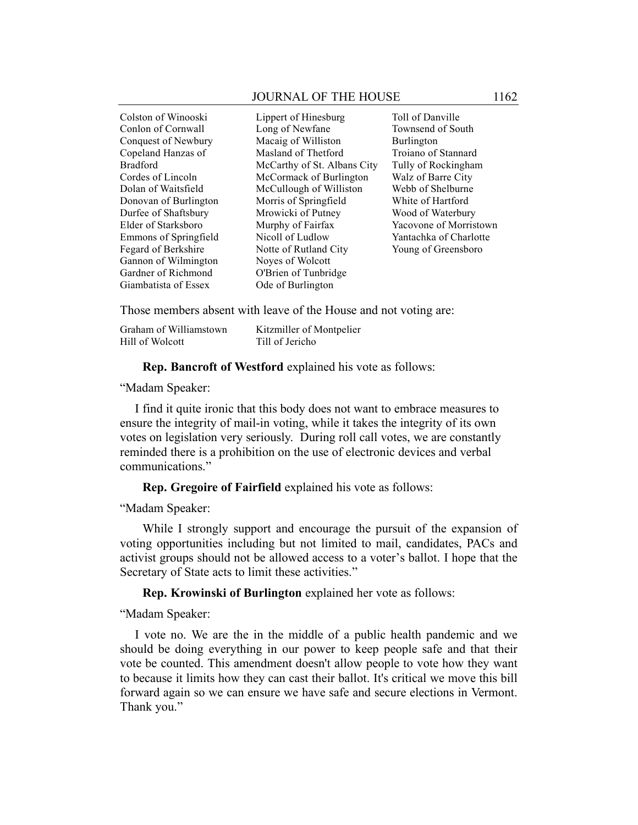#### JOURNAL OF THE HOUSE 1162

Colston of Winooski Conlon of Cornwall Conquest of Newbury Copeland Hanzas of Bradford Cordes of Lincoln Dolan of Waitsfield Donovan of Burlington Durfee of Shaftsbury Elder of Starksboro Emmons of Springfield Fegard of Berkshire Gannon of Wilmington Gardner of Richmond Giambatista of Essex

Lippert of Hinesburg Long of Newfane Macaig of Williston Masland of Thetford McCarthy of St. Albans City McCormack of Burlington McCullough of Williston Morris of Springfield Mrowicki of Putney Murphy of Fairfax Nicoll of Ludlow Notte of Rutland City Noyes of Wolcott O'Brien of Tunbridge Ode of Burlington

Toll of Danville Townsend of South Burlington Troiano of Stannard Tully of Rockingham Walz of Barre City Webb of Shelburne White of Hartford Wood of Waterbury Yacovone of Morristown Yantachka of Charlotte Young of Greensboro

Those members absent with leave of the House and not voting are:

| Graham of Williamstown | Kitzmiller of Montpelier |
|------------------------|--------------------------|
| Hill of Wolcott        | Till of Jericho          |

**Rep. Bancroft of Westford** explained his vote as follows:

"Madam Speaker:

I find it quite ironic that this body does not want to embrace measures to ensure the integrity of mail-in voting, while it takes the integrity of its own votes on legislation very seriously. During roll call votes, we are constantly reminded there is a prohibition on the use of electronic devices and verbal communications."

**Rep. Gregoire of Fairfield** explained his vote as follows:

"Madam Speaker:

While I strongly support and encourage the pursuit of the expansion of voting opportunities including but not limited to mail, candidates, PACs and activist groups should not be allowed access to a voter's ballot. I hope that the Secretary of State acts to limit these activities."

**Rep. Krowinski of Burlington** explained her vote as follows:

"Madam Speaker:

I vote no. We are the in the middle of a public health pandemic and we should be doing everything in our power to keep people safe and that their vote be counted. This amendment doesn't allow people to vote how they want to because it limits how they can cast their ballot. It's critical we move this bill forward again so we can ensure we have safe and secure elections in Vermont. Thank you."